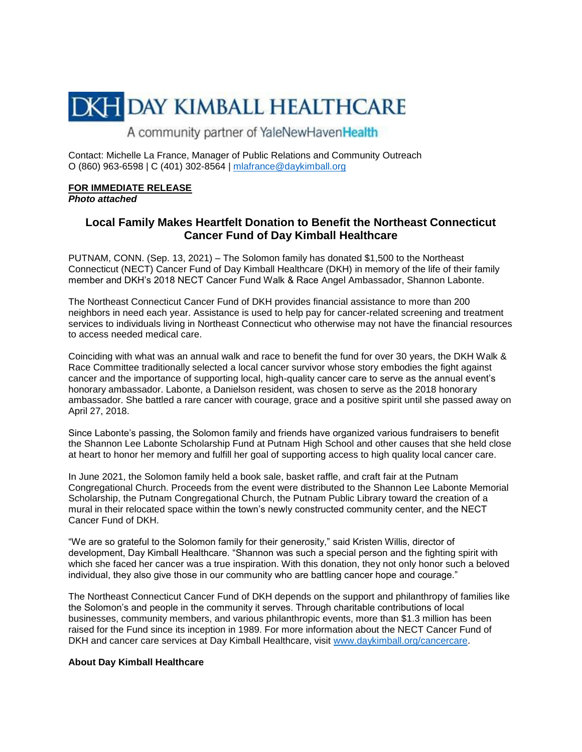## **DKH DAY KIMBALL HEALTHCARE**

A community partner of YaleNewHavenHealth

Contact: Michelle La France, Manager of Public Relations and Community Outreach O (860) 963-6598 | C (401) 302-8564 | [mlafrance@daykimball.org](mailto:mlafrance@daykimball.org)

## **FOR IMMEDIATE RELEASE**

*Photo attached*

## **Local Family Makes Heartfelt Donation to Benefit the Northeast Connecticut Cancer Fund of Day Kimball Healthcare**

PUTNAM, CONN. (Sep. 13, 2021) – The Solomon family has donated \$1,500 to the Northeast Connecticut (NECT) Cancer Fund of Day Kimball Healthcare (DKH) in memory of the life of their family member and DKH's 2018 NECT Cancer Fund Walk & Race Angel Ambassador, Shannon Labonte.

The Northeast Connecticut Cancer Fund of DKH provides financial assistance to more than 200 neighbors in need each year. Assistance is used to help pay for cancer-related screening and treatment services to individuals living in Northeast Connecticut who otherwise may not have the financial resources to access needed medical care.

Coinciding with what was an annual walk and race to benefit the fund for over 30 years, the DKH Walk & Race Committee traditionally selected a local cancer survivor whose story embodies the fight against cancer and the importance of supporting local, high-quality cancer care to serve as the annual event's honorary ambassador. Labonte, a Danielson resident, was chosen to serve as the 2018 honorary ambassador. She battled a rare cancer with courage, grace and a positive spirit until she passed away on April 27, 2018.

Since Labonte's passing, the Solomon family and friends have organized various fundraisers to benefit the Shannon Lee Labonte Scholarship Fund at Putnam High School and other causes that she held close at heart to honor her memory and fulfill her goal of supporting access to high quality local cancer care.

In June 2021, the Solomon family held a book sale, basket raffle, and craft fair at the Putnam Congregational Church. Proceeds from the event were distributed to the Shannon Lee Labonte Memorial Scholarship, the Putnam Congregational Church, the Putnam Public Library toward the creation of a mural in their relocated space within the town's newly constructed community center, and the NECT Cancer Fund of DKH.

"We are so grateful to the Solomon family for their generosity," said Kristen Willis, director of development, Day Kimball Healthcare. "Shannon was such a special person and the fighting spirit with which she faced her cancer was a true inspiration. With this donation, they not only honor such a beloved individual, they also give those in our community who are battling cancer hope and courage."

The Northeast Connecticut Cancer Fund of DKH depends on the support and philanthropy of families like the Solomon's and people in the community it serves. Through charitable contributions of local businesses, community members, and various philanthropic events, more than \$1.3 million has been raised for the Fund since its inception in 1989. For more information about the NECT Cancer Fund of DKH and cancer care services at Day Kimball Healthcare, visit [www.daykimball.org/cancercare.](http://www.daykimball.org/cancercare)

## **About Day Kimball Healthcare**